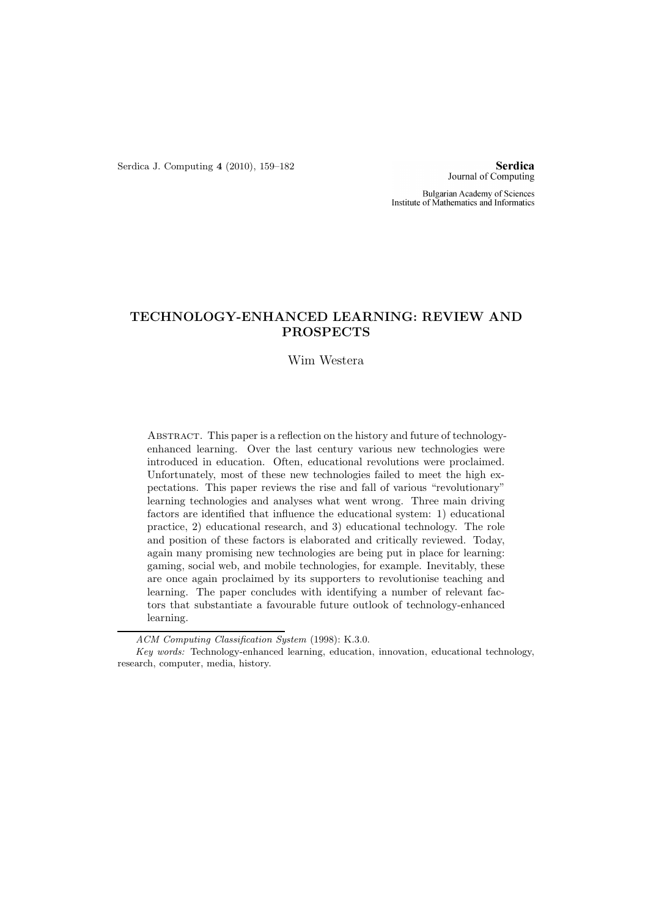Serdica J. Computing 4 (2010), 159–182

**Serdica** Journal of Computing

Bulgarian Academy of Sciences Institute of Mathematics and Informatics

# TECHNOLOGY-ENHANCED LEARNING: REVIEW AND PROSPECTS

### Wim Westera

Abstract. This paper is a reflection on the history and future of technologyenhanced learning. Over the last century various new technologies were introduced in education. Often, educational revolutions were proclaimed. Unfortunately, most of these new technologies failed to meet the high expectations. This paper reviews the rise and fall of various "revolutionary" learning technologies and analyses what went wrong. Three main driving factors are identified that influence the educational system: 1) educational practice, 2) educational research, and 3) educational technology. The role and position of these factors is elaborated and critically reviewed. Today, again many promising new technologies are being put in place for learning: gaming, social web, and mobile technologies, for example. Inevitably, these are once again proclaimed by its supporters to revolutionise teaching and learning. The paper concludes with identifying a number of relevant factors that substantiate a favourable future outlook of technology-enhanced learning.

ACM Computing Classification System (1998): K.3.0.

Key words: Technology-enhanced learning, education, innovation, educational technology, research, computer, media, history.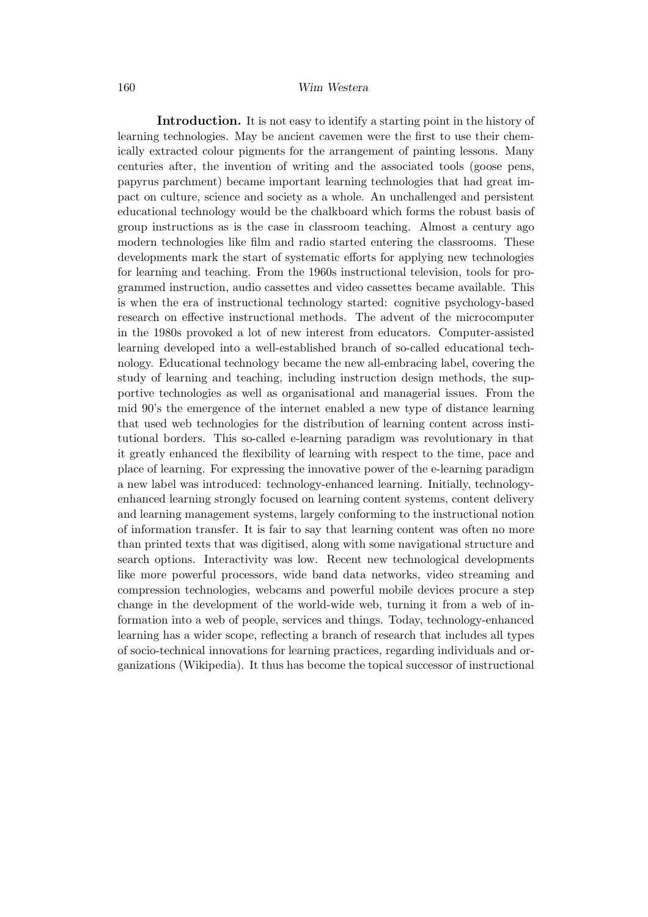Introduction. It is not easy to identify a starting point in the history of learning technologies. May be ancient cavemen were the first to use their chemically extracted colour pigments for the arrangement of painting lessons. Many centuries after, the invention of writing and the associated tools (goose pens, papyrus parchment) became important learning technologies that had great impact on culture, science and society as a whole. An unchallenged and persistent educational technology would be the chalkboard which forms the robust basis of group instructions as is the case in classroom teaching. Almost a century ago modern technologies like film and radio started entering the classrooms. These developments mark the start of systematic efforts for applying new technologies for learning and teaching. From the 1960s instructional television, tools for programmed instruction, audio cassettes and video cassettes became available. This is when the era of instructional technology started: cognitive psychology-based research on effective instructional methods. The advent of the microcomputer in the 1980s provoked a lot of new interest from educators. Computer-assisted learning developed into a well-established branch of so-called educational technology. Educational technology became the new all-embracing label, covering the study of learning and teaching, including instruction design methods, the supportive technologies as well as organisational and managerial issues. From the mid 90's the emergence of the internet enabled a new type of distance learning that used web technologies for the distribution of learning content across institutional borders. This so-called e-learning paradigm was revolutionary in that it greatly enhanced the flexibility of learning with respect to the time, pace and place of learning. For expressing the innovative power of the e-learning paradigm a new label was introduced: technology-enhanced learning. Initially, technologyenhanced learning strongly focused on learning content systems, content delivery and learning management systems, largely conforming to the instructional notion of information transfer. It is fair to say that learning content was often no more than printed texts that was digitised, along with some navigational structure and search options. Interactivity was low. Recent new technological developments like more powerful processors, wide band data networks, video streaming and compression technologies, webcams and powerful mobile devices procure a step change in the development of the world-wide web, turning it from a web of information into a web of people, services and things. Today, technology-enhanced learning has a wider scope, reflecting a branch of research that includes all types of socio-technical innovations for learning practices, regarding individuals and organizations (Wikipedia). It thus has become the topical successor of instructional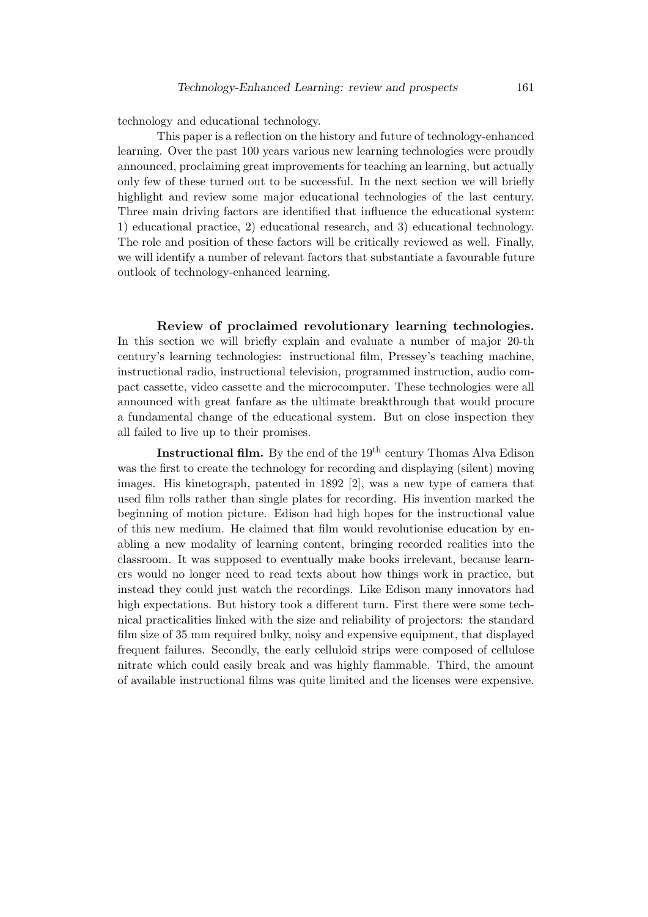technology and educational technology.

This paper is a reflection on the history and future of technology-enhanced learning. Over the past 100 years various new learning technologies were proudly announced, proclaiming great improvements for teaching an learning, but actually only few of these turned out to be successful. In the next section we will briefly highlight and review some major educational technologies of the last century. Three main driving factors are identified that influence the educational system: 1) educational practice, 2) educational research, and 3) educational technology. The role and position of these factors will be critically reviewed as well. Finally, we will identify a number of relevant factors that substantiate a favourable future outlook of technology-enhanced learning.

Review of proclaimed revolutionary learning technologies. In this section we will briefly explain and evaluate a number of major 20-th century's learning technologies: instructional film, Pressey's teaching machine, instructional radio, instructional television, programmed instruction, audio compact cassette, video cassette and the microcomputer. These technologies were all announced with great fanfare as the ultimate breakthrough that would procure a fundamental change of the educational system. But on close inspection they all failed to live up to their promises.

**Instructional film.** By the end of the  $19<sup>th</sup>$  century Thomas Alva Edison was the first to create the technology for recording and displaying (silent) moving images. His kinetograph, patented in 1892 [2], was a new type of camera that used film rolls rather than single plates for recording. His invention marked the beginning of motion picture. Edison had high hopes for the instructional value of this new medium. He claimed that film would revolutionise education by enabling a new modality of learning content, bringing recorded realities into the classroom. It was supposed to eventually make books irrelevant, because learners would no longer need to read texts about how things work in practice, but instead they could just watch the recordings. Like Edison many innovators had high expectations. But history took a different turn. First there were some technical practicalities linked with the size and reliability of projectors: the standard film size of 35 mm required bulky, noisy and expensive equipment, that displayed frequent failures. Secondly, the early celluloid strips were composed of cellulose nitrate which could easily break and was highly flammable. Third, the amount of available instructional films was quite limited and the licenses were expensive.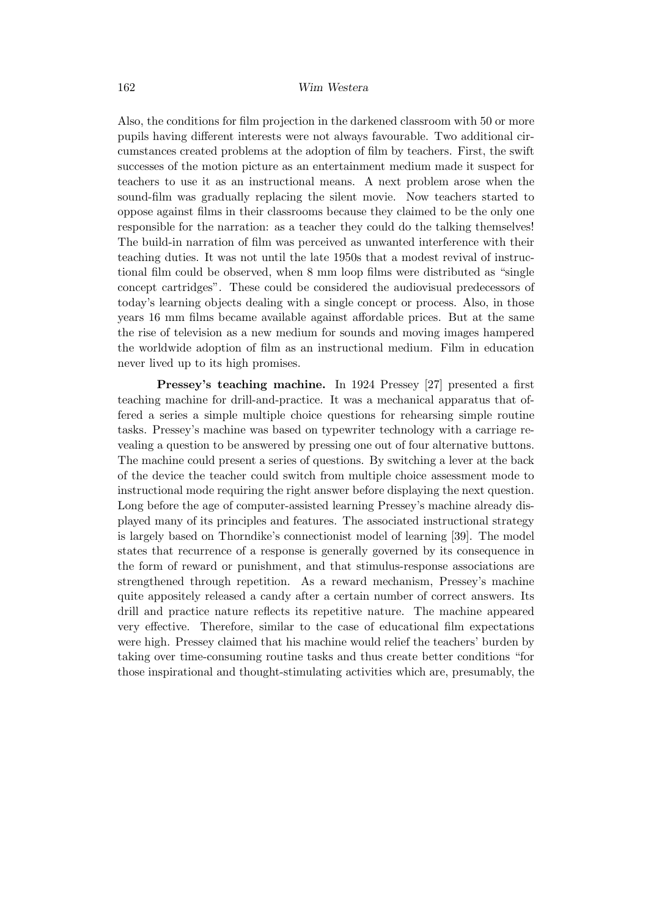Also, the conditions for film projection in the darkened classroom with 50 or more pupils having different interests were not always favourable. Two additional circumstances created problems at the adoption of film by teachers. First, the swift successes of the motion picture as an entertainment medium made it suspect for teachers to use it as an instructional means. A next problem arose when the sound-film was gradually replacing the silent movie. Now teachers started to oppose against films in their classrooms because they claimed to be the only one responsible for the narration: as a teacher they could do the talking themselves! The build-in narration of film was perceived as unwanted interference with their teaching duties. It was not until the late 1950s that a modest revival of instructional film could be observed, when 8 mm loop films were distributed as "single concept cartridges". These could be considered the audiovisual predecessors of today's learning objects dealing with a single concept or process. Also, in those years 16 mm films became available against affordable prices. But at the same the rise of television as a new medium for sounds and moving images hampered the worldwide adoption of film as an instructional medium. Film in education never lived up to its high promises.

Pressey's teaching machine. In 1924 Pressey [27] presented a first teaching machine for drill-and-practice. It was a mechanical apparatus that offered a series a simple multiple choice questions for rehearsing simple routine tasks. Pressey's machine was based on typewriter technology with a carriage revealing a question to be answered by pressing one out of four alternative buttons. The machine could present a series of questions. By switching a lever at the back of the device the teacher could switch from multiple choice assessment mode to instructional mode requiring the right answer before displaying the next question. Long before the age of computer-assisted learning Pressey's machine already displayed many of its principles and features. The associated instructional strategy is largely based on Thorndike's connectionist model of learning [39]. The model states that recurrence of a response is generally governed by its consequence in the form of reward or punishment, and that stimulus-response associations are strengthened through repetition. As a reward mechanism, Pressey's machine quite appositely released a candy after a certain number of correct answers. Its drill and practice nature reflects its repetitive nature. The machine appeared very effective. Therefore, similar to the case of educational film expectations were high. Pressey claimed that his machine would relief the teachers' burden by taking over time-consuming routine tasks and thus create better conditions "for those inspirational and thought-stimulating activities which are, presumably, the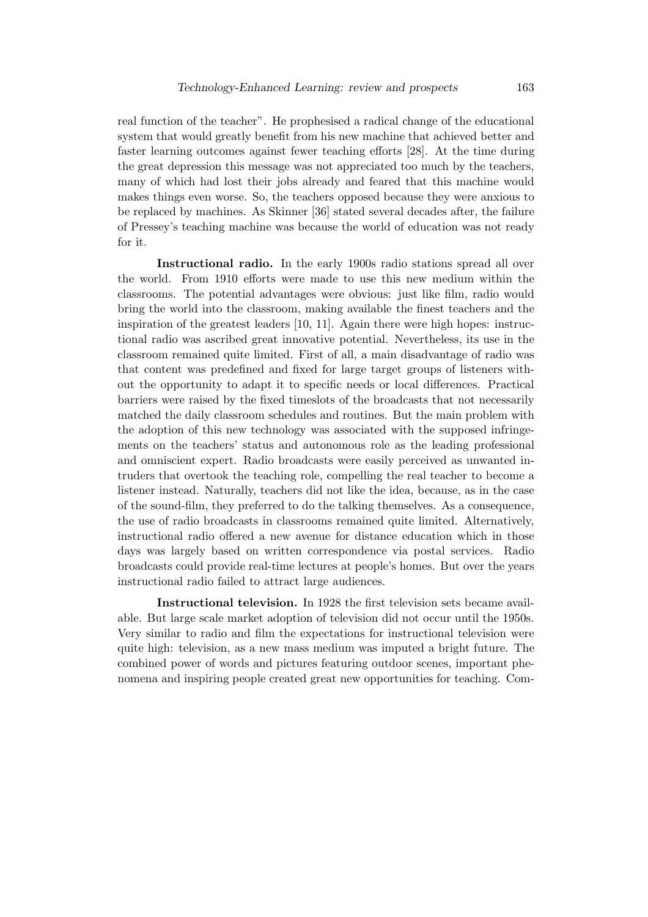real function of the teacher". He prophesised a radical change of the educational system that would greatly benefit from his new machine that achieved better and faster learning outcomes against fewer teaching efforts [28]. At the time during the great depression this message was not appreciated too much by the teachers, many of which had lost their jobs already and feared that this machine would makes things even worse. So, the teachers opposed because they were anxious to be replaced by machines. As Skinner [36] stated several decades after, the failure of Pressey's teaching machine was because the world of education was not ready for it.

Instructional radio. In the early 1900s radio stations spread all over the world. From 1910 efforts were made to use this new medium within the classrooms. The potential advantages were obvious: just like film, radio would bring the world into the classroom, making available the finest teachers and the inspiration of the greatest leaders [10, 11]. Again there were high hopes: instructional radio was ascribed great innovative potential. Nevertheless, its use in the classroom remained quite limited. First of all, a main disadvantage of radio was that content was predefined and fixed for large target groups of listeners without the opportunity to adapt it to specific needs or local differences. Practical barriers were raised by the fixed timeslots of the broadcasts that not necessarily matched the daily classroom schedules and routines. But the main problem with the adoption of this new technology was associated with the supposed infringements on the teachers' status and autonomous role as the leading professional and omniscient expert. Radio broadcasts were easily perceived as unwanted intruders that overtook the teaching role, compelling the real teacher to become a listener instead. Naturally, teachers did not like the idea, because, as in the case of the sound-film, they preferred to do the talking themselves. As a consequence, the use of radio broadcasts in classrooms remained quite limited. Alternatively, instructional radio offered a new avenue for distance education which in those days was largely based on written correspondence via postal services. Radio broadcasts could provide real-time lectures at people's homes. But over the years instructional radio failed to attract large audiences.

Instructional television. In 1928 the first television sets became available. But large scale market adoption of television did not occur until the 1950s. Very similar to radio and film the expectations for instructional television were quite high: television, as a new mass medium was imputed a bright future. The combined power of words and pictures featuring outdoor scenes, important phenomena and inspiring people created great new opportunities for teaching. Com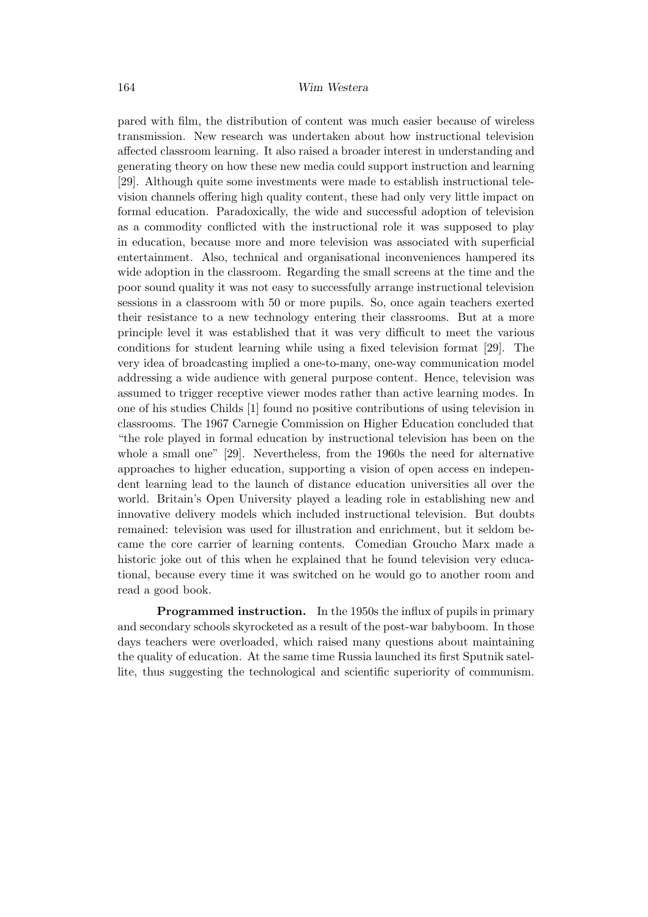pared with film, the distribution of content was much easier because of wireless transmission. New research was undertaken about how instructional television affected classroom learning. It also raised a broader interest in understanding and generating theory on how these new media could support instruction and learning [29]. Although quite some investments were made to establish instructional television channels offering high quality content, these had only very little impact on formal education. Paradoxically, the wide and successful adoption of television as a commodity conflicted with the instructional role it was supposed to play in education, because more and more television was associated with superficial entertainment. Also, technical and organisational inconveniences hampered its wide adoption in the classroom. Regarding the small screens at the time and the poor sound quality it was not easy to successfully arrange instructional television sessions in a classroom with 50 or more pupils. So, once again teachers exerted their resistance to a new technology entering their classrooms. But at a more principle level it was established that it was very difficult to meet the various conditions for student learning while using a fixed television format [29]. The very idea of broadcasting implied a one-to-many, one-way communication model addressing a wide audience with general purpose content. Hence, television was assumed to trigger receptive viewer modes rather than active learning modes. In one of his studies Childs [1] found no positive contributions of using television in classrooms. The 1967 Carnegie Commission on Higher Education concluded that "the role played in formal education by instructional television has been on the whole a small one" [29]. Nevertheless, from the 1960s the need for alternative approaches to higher education, supporting a vision of open access en independent learning lead to the launch of distance education universities all over the world. Britain's Open University played a leading role in establishing new and innovative delivery models which included instructional television. But doubts remained: television was used for illustration and enrichment, but it seldom became the core carrier of learning contents. Comedian Groucho Marx made a historic joke out of this when he explained that he found television very educational, because every time it was switched on he would go to another room and read a good book.

Programmed instruction. In the 1950s the influx of pupils in primary and secondary schools skyrocketed as a result of the post-war babyboom. In those days teachers were overloaded, which raised many questions about maintaining the quality of education. At the same time Russia launched its first Sputnik satellite, thus suggesting the technological and scientific superiority of communism.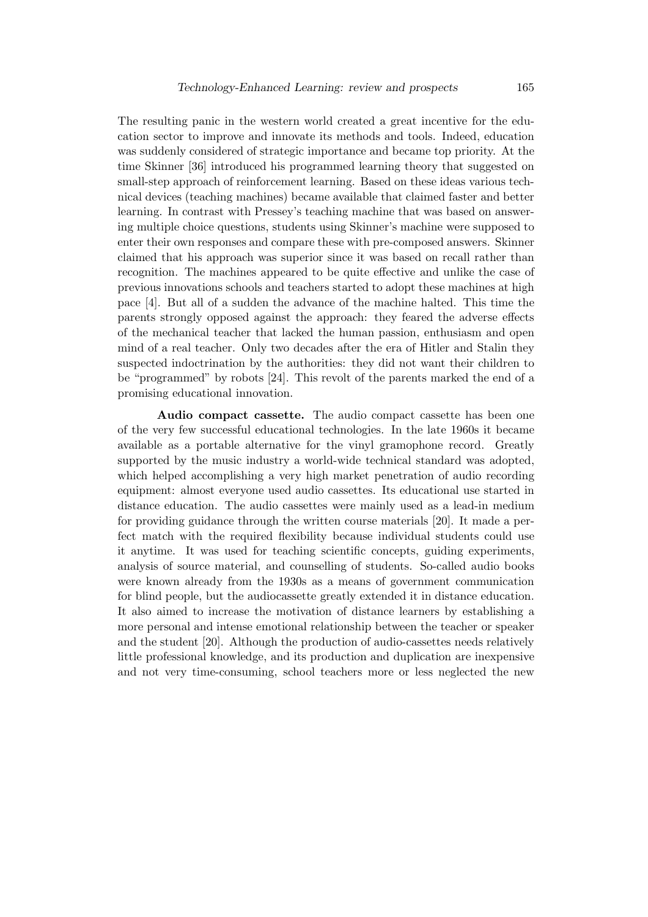The resulting panic in the western world created a great incentive for the education sector to improve and innovate its methods and tools. Indeed, education was suddenly considered of strategic importance and became top priority. At the time Skinner [36] introduced his programmed learning theory that suggested on small-step approach of reinforcement learning. Based on these ideas various technical devices (teaching machines) became available that claimed faster and better learning. In contrast with Pressey's teaching machine that was based on answering multiple choice questions, students using Skinner's machine were supposed to enter their own responses and compare these with pre-composed answers. Skinner claimed that his approach was superior since it was based on recall rather than recognition. The machines appeared to be quite effective and unlike the case of previous innovations schools and teachers started to adopt these machines at high pace [4]. But all of a sudden the advance of the machine halted. This time the parents strongly opposed against the approach: they feared the adverse effects of the mechanical teacher that lacked the human passion, enthusiasm and open mind of a real teacher. Only two decades after the era of Hitler and Stalin they suspected indoctrination by the authorities: they did not want their children to be "programmed" by robots [24]. This revolt of the parents marked the end of a promising educational innovation.

Audio compact cassette. The audio compact cassette has been one of the very few successful educational technologies. In the late 1960s it became available as a portable alternative for the vinyl gramophone record. Greatly supported by the music industry a world-wide technical standard was adopted, which helped accomplishing a very high market penetration of audio recording equipment: almost everyone used audio cassettes. Its educational use started in distance education. The audio cassettes were mainly used as a lead-in medium for providing guidance through the written course materials [20]. It made a perfect match with the required flexibility because individual students could use it anytime. It was used for teaching scientific concepts, guiding experiments, analysis of source material, and counselling of students. So-called audio books were known already from the 1930s as a means of government communication for blind people, but the audiocassette greatly extended it in distance education. It also aimed to increase the motivation of distance learners by establishing a more personal and intense emotional relationship between the teacher or speaker and the student [20]. Although the production of audio-cassettes needs relatively little professional knowledge, and its production and duplication are inexpensive and not very time-consuming, school teachers more or less neglected the new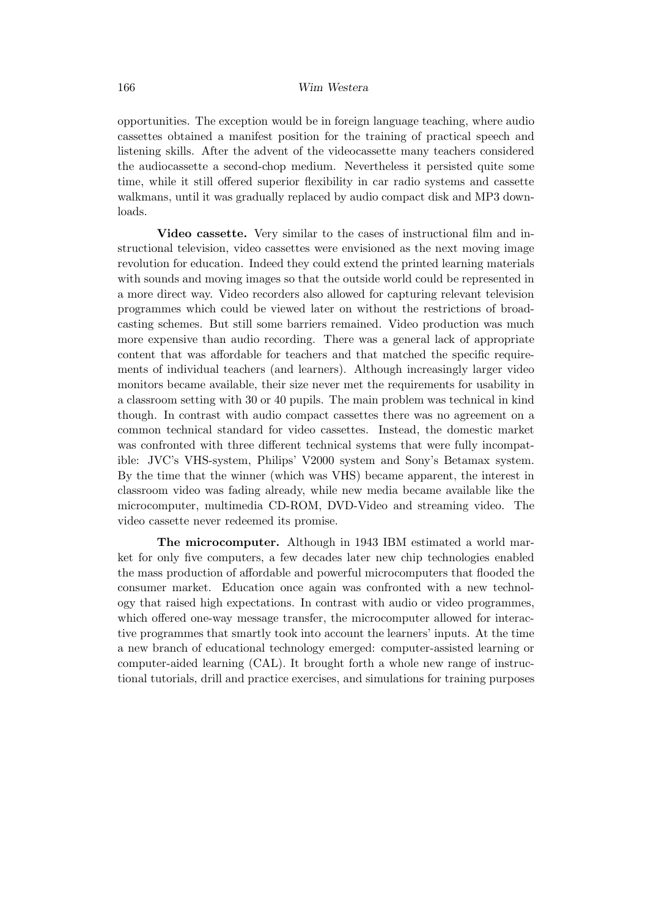opportunities. The exception would be in foreign language teaching, where audio cassettes obtained a manifest position for the training of practical speech and listening skills. After the advent of the videocassette many teachers considered the audiocassette a second-chop medium. Nevertheless it persisted quite some time, while it still offered superior flexibility in car radio systems and cassette walkmans, until it was gradually replaced by audio compact disk and MP3 downloads.

Video cassette. Very similar to the cases of instructional film and instructional television, video cassettes were envisioned as the next moving image revolution for education. Indeed they could extend the printed learning materials with sounds and moving images so that the outside world could be represented in a more direct way. Video recorders also allowed for capturing relevant television programmes which could be viewed later on without the restrictions of broadcasting schemes. But still some barriers remained. Video production was much more expensive than audio recording. There was a general lack of appropriate content that was affordable for teachers and that matched the specific requirements of individual teachers (and learners). Although increasingly larger video monitors became available, their size never met the requirements for usability in a classroom setting with 30 or 40 pupils. The main problem was technical in kind though. In contrast with audio compact cassettes there was no agreement on a common technical standard for video cassettes. Instead, the domestic market was confronted with three different technical systems that were fully incompatible: JVC's VHS-system, Philips' V2000 system and Sony's Betamax system. By the time that the winner (which was VHS) became apparent, the interest in classroom video was fading already, while new media became available like the microcomputer, multimedia CD-ROM, DVD-Video and streaming video. The video cassette never redeemed its promise.

The microcomputer. Although in 1943 IBM estimated a world market for only five computers, a few decades later new chip technologies enabled the mass production of affordable and powerful microcomputers that flooded the consumer market. Education once again was confronted with a new technology that raised high expectations. In contrast with audio or video programmes, which offered one-way message transfer, the microcomputer allowed for interactive programmes that smartly took into account the learners' inputs. At the time a new branch of educational technology emerged: computer-assisted learning or computer-aided learning (CAL). It brought forth a whole new range of instructional tutorials, drill and practice exercises, and simulations for training purposes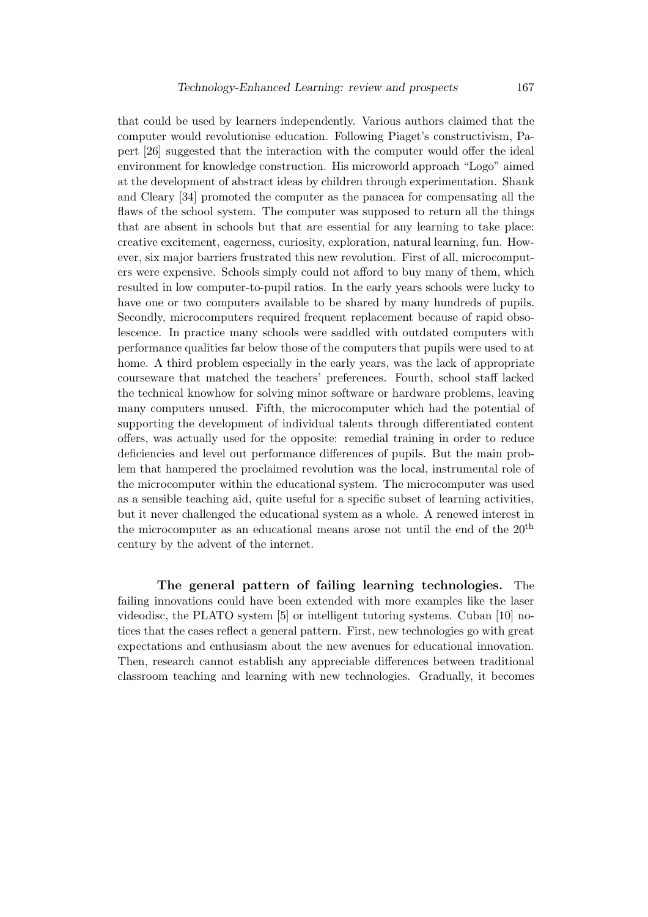that could be used by learners independently. Various authors claimed that the computer would revolutionise education. Following Piaget's constructivism, Papert [26] suggested that the interaction with the computer would offer the ideal environment for knowledge construction. His microworld approach "Logo" aimed at the development of abstract ideas by children through experimentation. Shank and Cleary [34] promoted the computer as the panacea for compensating all the flaws of the school system. The computer was supposed to return all the things that are absent in schools but that are essential for any learning to take place: creative excitement, eagerness, curiosity, exploration, natural learning, fun. However, six major barriers frustrated this new revolution. First of all, microcomputers were expensive. Schools simply could not afford to buy many of them, which resulted in low computer-to-pupil ratios. In the early years schools were lucky to have one or two computers available to be shared by many hundreds of pupils. Secondly, microcomputers required frequent replacement because of rapid obsolescence. In practice many schools were saddled with outdated computers with performance qualities far below those of the computers that pupils were used to at home. A third problem especially in the early years, was the lack of appropriate courseware that matched the teachers' preferences. Fourth, school staff lacked the technical knowhow for solving minor software or hardware problems, leaving many computers unused. Fifth, the microcomputer which had the potential of supporting the development of individual talents through differentiated content offers, was actually used for the opposite: remedial training in order to reduce deficiencies and level out performance differences of pupils. But the main problem that hampered the proclaimed revolution was the local, instrumental role of the microcomputer within the educational system. The microcomputer was used as a sensible teaching aid, quite useful for a specific subset of learning activities, but it never challenged the educational system as a whole. A renewed interest in the microcomputer as an educational means arose not until the end of the 20th century by the advent of the internet.

The general pattern of failing learning technologies. The failing innovations could have been extended with more examples like the laser videodisc, the PLATO system [5] or intelligent tutoring systems. Cuban [10] notices that the cases reflect a general pattern. First, new technologies go with great expectations and enthusiasm about the new avenues for educational innovation. Then, research cannot establish any appreciable differences between traditional classroom teaching and learning with new technologies. Gradually, it becomes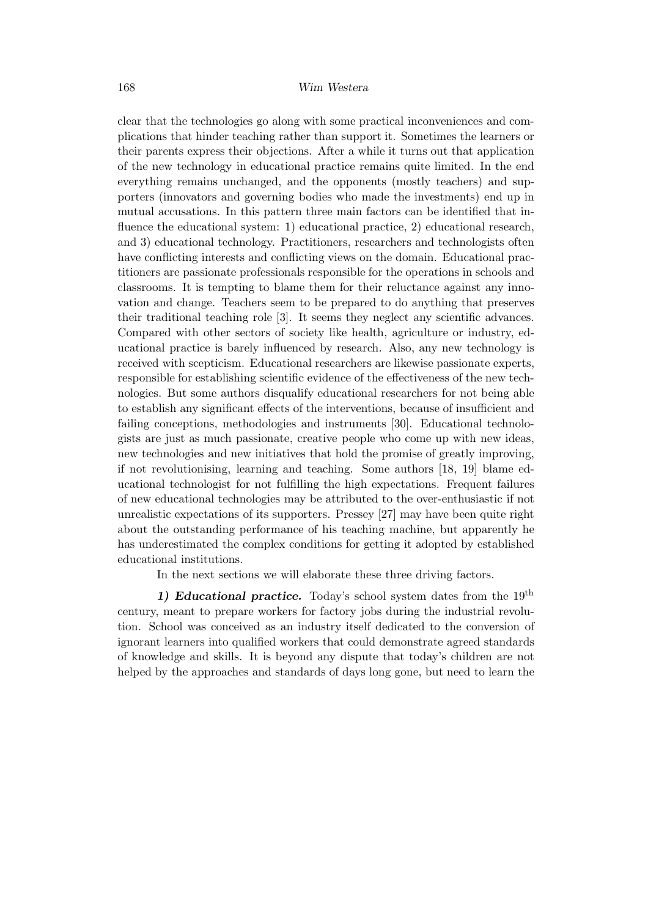clear that the technologies go along with some practical inconveniences and complications that hinder teaching rather than support it. Sometimes the learners or their parents express their objections. After a while it turns out that application of the new technology in educational practice remains quite limited. In the end everything remains unchanged, and the opponents (mostly teachers) and supporters (innovators and governing bodies who made the investments) end up in mutual accusations. In this pattern three main factors can be identified that influence the educational system: 1) educational practice, 2) educational research, and 3) educational technology. Practitioners, researchers and technologists often have conflicting interests and conflicting views on the domain. Educational practitioners are passionate professionals responsible for the operations in schools and classrooms. It is tempting to blame them for their reluctance against any innovation and change. Teachers seem to be prepared to do anything that preserves their traditional teaching role [3]. It seems they neglect any scientific advances. Compared with other sectors of society like health, agriculture or industry, educational practice is barely influenced by research. Also, any new technology is received with scepticism. Educational researchers are likewise passionate experts, responsible for establishing scientific evidence of the effectiveness of the new technologies. But some authors disqualify educational researchers for not being able to establish any significant effects of the interventions, because of insufficient and failing conceptions, methodologies and instruments [30]. Educational technologists are just as much passionate, creative people who come up with new ideas, new technologies and new initiatives that hold the promise of greatly improving, if not revolutionising, learning and teaching. Some authors [18, 19] blame educational technologist for not fulfilling the high expectations. Frequent failures of new educational technologies may be attributed to the over-enthusiastic if not unrealistic expectations of its supporters. Pressey [27] may have been quite right about the outstanding performance of his teaching machine, but apparently he has underestimated the complex conditions for getting it adopted by established educational institutions.

In the next sections we will elaborate these three driving factors.

1) Educational practice. Today's school system dates from the  $19<sup>th</sup>$ century, meant to prepare workers for factory jobs during the industrial revolution. School was conceived as an industry itself dedicated to the conversion of ignorant learners into qualified workers that could demonstrate agreed standards of knowledge and skills. It is beyond any dispute that today's children are not helped by the approaches and standards of days long gone, but need to learn the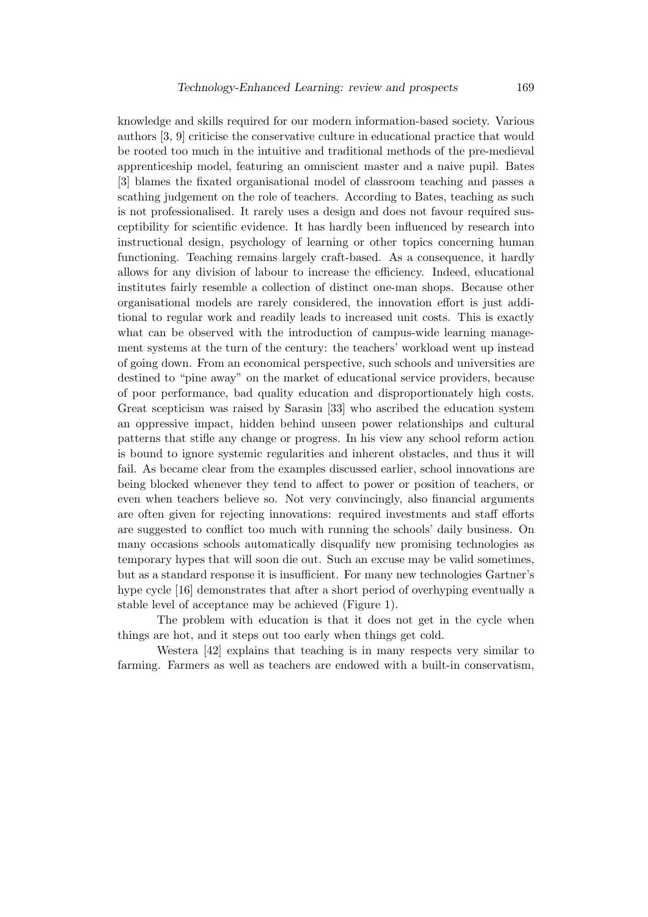knowledge and skills required for our modern information-based society. Various authors [3, 9] criticise the conservative culture in educational practice that would be rooted too much in the intuitive and traditional methods of the pre-medieval apprenticeship model, featuring an omniscient master and a naive pupil. Bates [3] blames the fixated organisational model of classroom teaching and passes a scathing judgement on the role of teachers. According to Bates, teaching as such is not professionalised. It rarely uses a design and does not favour required susceptibility for scientific evidence. It has hardly been influenced by research into instructional design, psychology of learning or other topics concerning human functioning. Teaching remains largely craft-based. As a consequence, it hardly allows for any division of labour to increase the efficiency. Indeed, educational institutes fairly resemble a collection of distinct one-man shops. Because other organisational models are rarely considered, the innovation effort is just additional to regular work and readily leads to increased unit costs. This is exactly what can be observed with the introduction of campus-wide learning management systems at the turn of the century: the teachers' workload went up instead of going down. From an economical perspective, such schools and universities are destined to "pine away" on the market of educational service providers, because of poor performance, bad quality education and disproportionately high costs. Great scepticism was raised by Sarasin [33] who ascribed the education system an oppressive impact, hidden behind unseen power relationships and cultural patterns that stifle any change or progress. In his view any school reform action is bound to ignore systemic regularities and inherent obstacles, and thus it will fail. As became clear from the examples discussed earlier, school innovations are being blocked whenever they tend to affect to power or position of teachers, or even when teachers believe so. Not very convincingly, also financial arguments are often given for rejecting innovations: required investments and staff efforts are suggested to conflict too much with running the schools' daily business. On many occasions schools automatically disqualify new promising technologies as temporary hypes that will soon die out. Such an excuse may be valid sometimes, but as a standard response it is insufficient. For many new technologies Gartner's hype cycle [16] demonstrates that after a short period of overhyping eventually a stable level of acceptance may be achieved (Figure 1).

The problem with education is that it does not get in the cycle when things are hot, and it steps out too early when things get cold.

Westera [42] explains that teaching is in many respects very similar to farming. Farmers as well as teachers are endowed with a built-in conservatism,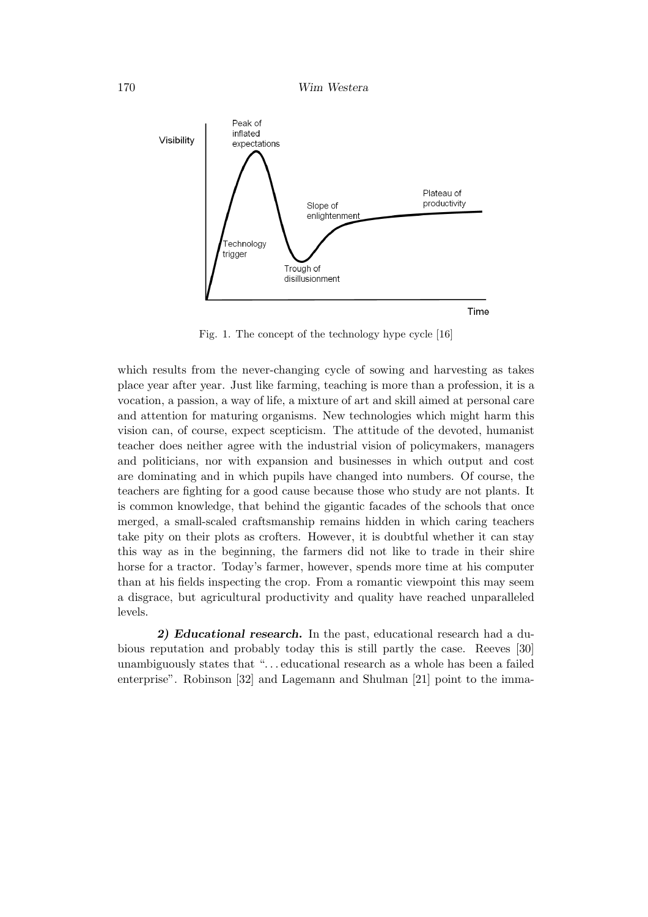

Fig. 1. The concept of the technology hype cycle [16]

which results from the never-changing cycle of sowing and harvesting as takes place year after year. Just like farming, teaching is more than a profession, it is a vocation, a passion, a way of life, a mixture of art and skill aimed at personal care and attention for maturing organisms. New technologies which might harm this vision can, of course, expect scepticism. The attitude of the devoted, humanist teacher does neither agree with the industrial vision of policymakers, managers and politicians, nor with expansion and businesses in which output and cost are dominating and in which pupils have changed into numbers. Of course, the teachers are fighting for a good cause because those who study are not plants. It is common knowledge, that behind the gigantic facades of the schools that once merged, a small-scaled craftsmanship remains hidden in which caring teachers take pity on their plots as crofters. However, it is doubtful whether it can stay this way as in the beginning, the farmers did not like to trade in their shire horse for a tractor. Today's farmer, however, spends more time at his computer than at his fields inspecting the crop. From a romantic viewpoint this may seem a disgrace, but agricultural productivity and quality have reached unparalleled levels.

2) Educational research. In the past, educational research had a dubious reputation and probably today this is still partly the case. Reeves [30] unambiguously states that "... educational research as a whole has been a failed enterprise". Robinson [32] and Lagemann and Shulman [21] point to the imma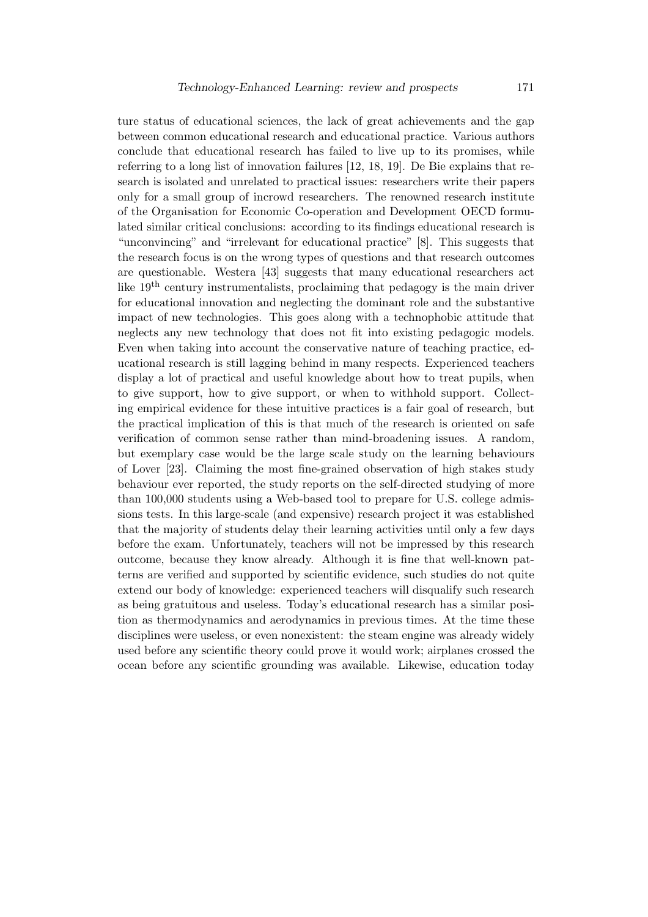ture status of educational sciences, the lack of great achievements and the gap between common educational research and educational practice. Various authors conclude that educational research has failed to live up to its promises, while referring to a long list of innovation failures [12, 18, 19]. De Bie explains that research is isolated and unrelated to practical issues: researchers write their papers only for a small group of incrowd researchers. The renowned research institute of the Organisation for Economic Co-operation and Development OECD formulated similar critical conclusions: according to its findings educational research is "unconvincing" and "irrelevant for educational practice" [8]. This suggests that the research focus is on the wrong types of questions and that research outcomes are questionable. Westera [43] suggests that many educational researchers act like 19th century instrumentalists, proclaiming that pedagogy is the main driver for educational innovation and neglecting the dominant role and the substantive impact of new technologies. This goes along with a technophobic attitude that neglects any new technology that does not fit into existing pedagogic models. Even when taking into account the conservative nature of teaching practice, educational research is still lagging behind in many respects. Experienced teachers display a lot of practical and useful knowledge about how to treat pupils, when to give support, how to give support, or when to withhold support. Collecting empirical evidence for these intuitive practices is a fair goal of research, but the practical implication of this is that much of the research is oriented on safe verification of common sense rather than mind-broadening issues. A random, but exemplary case would be the large scale study on the learning behaviours of Lover [23]. Claiming the most fine-grained observation of high stakes study behaviour ever reported, the study reports on the self-directed studying of more than 100,000 students using a Web-based tool to prepare for U.S. college admissions tests. In this large-scale (and expensive) research project it was established that the majority of students delay their learning activities until only a few days before the exam. Unfortunately, teachers will not be impressed by this research outcome, because they know already. Although it is fine that well-known patterns are verified and supported by scientific evidence, such studies do not quite extend our body of knowledge: experienced teachers will disqualify such research as being gratuitous and useless. Today's educational research has a similar position as thermodynamics and aerodynamics in previous times. At the time these disciplines were useless, or even nonexistent: the steam engine was already widely used before any scientific theory could prove it would work; airplanes crossed the ocean before any scientific grounding was available. Likewise, education today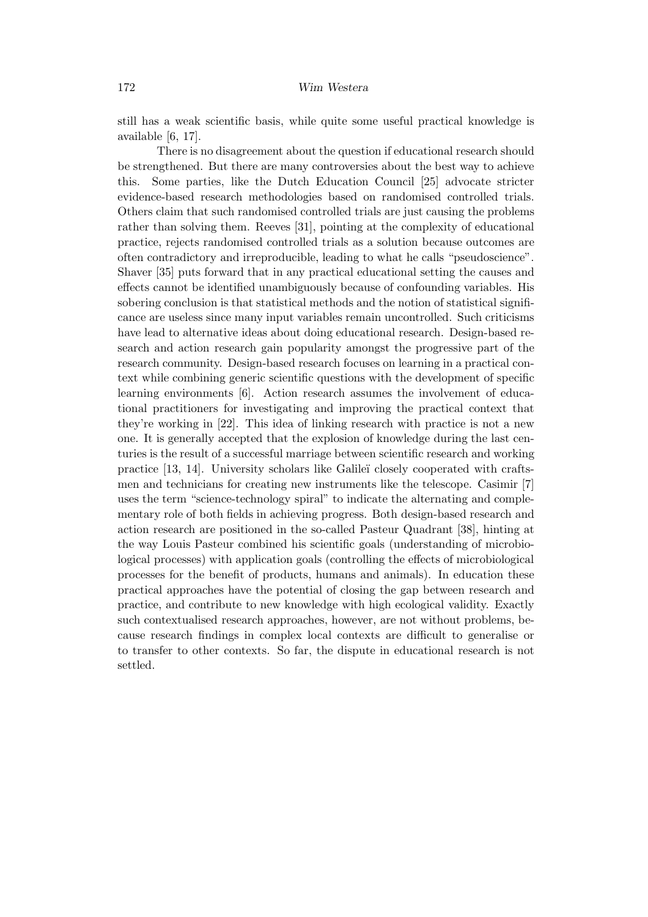still has a weak scientific basis, while quite some useful practical knowledge is available [6, 17].

There is no disagreement about the question if educational research should be strengthened. But there are many controversies about the best way to achieve this. Some parties, like the Dutch Education Council [25] advocate stricter evidence-based research methodologies based on randomised controlled trials. Others claim that such randomised controlled trials are just causing the problems rather than solving them. Reeves [31], pointing at the complexity of educational practice, rejects randomised controlled trials as a solution because outcomes are often contradictory and irreproducible, leading to what he calls "pseudoscience". Shaver [35] puts forward that in any practical educational setting the causes and effects cannot be identified unambiguously because of confounding variables. His sobering conclusion is that statistical methods and the notion of statistical significance are useless since many input variables remain uncontrolled. Such criticisms have lead to alternative ideas about doing educational research. Design-based research and action research gain popularity amongst the progressive part of the research community. Design-based research focuses on learning in a practical context while combining generic scientific questions with the development of specific learning environments [6]. Action research assumes the involvement of educational practitioners for investigating and improving the practical context that they're working in [22]. This idea of linking research with practice is not a new one. It is generally accepted that the explosion of knowledge during the last centuries is the result of a successful marriage between scientific research and working practice [13, 14]. University scholars like Galile¨ı closely cooperated with craftsmen and technicians for creating new instruments like the telescope. Casimir [7] uses the term "science-technology spiral" to indicate the alternating and complementary role of both fields in achieving progress. Both design-based research and action research are positioned in the so-called Pasteur Quadrant [38], hinting at the way Louis Pasteur combined his scientific goals (understanding of microbiological processes) with application goals (controlling the effects of microbiological processes for the benefit of products, humans and animals). In education these practical approaches have the potential of closing the gap between research and practice, and contribute to new knowledge with high ecological validity. Exactly such contextualised research approaches, however, are not without problems, because research findings in complex local contexts are difficult to generalise or to transfer to other contexts. So far, the dispute in educational research is not settled.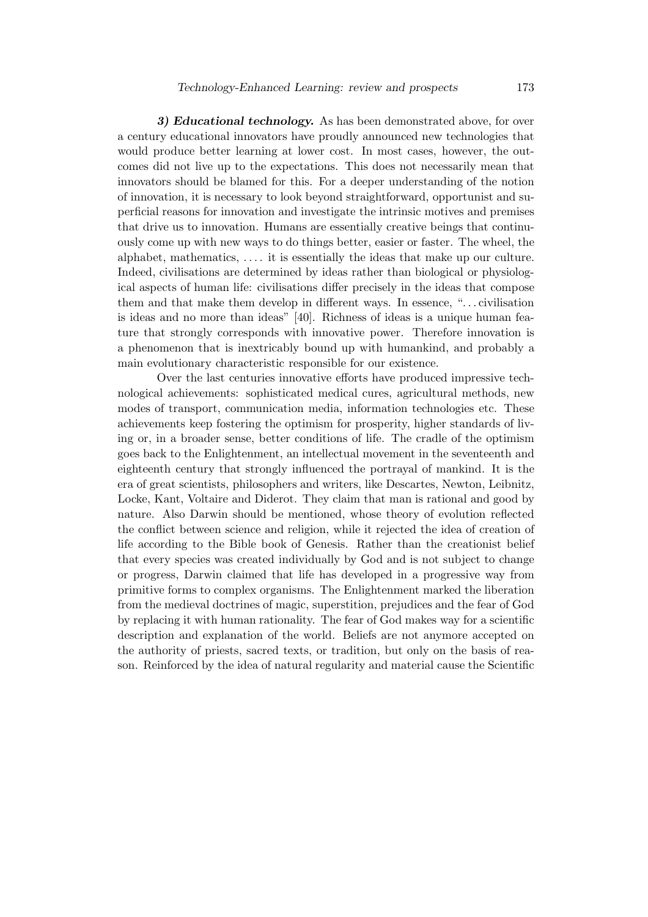3) Educational technology. As has been demonstrated above, for over a century educational innovators have proudly announced new technologies that would produce better learning at lower cost. In most cases, however, the outcomes did not live up to the expectations. This does not necessarily mean that innovators should be blamed for this. For a deeper understanding of the notion of innovation, it is necessary to look beyond straightforward, opportunist and superficial reasons for innovation and investigate the intrinsic motives and premises that drive us to innovation. Humans are essentially creative beings that continuously come up with new ways to do things better, easier or faster. The wheel, the alphabet, mathematics, . . . . it is essentially the ideas that make up our culture. Indeed, civilisations are determined by ideas rather than biological or physiological aspects of human life: civilisations differ precisely in the ideas that compose them and that make them develop in different ways. In essence, ". . . civilisation is ideas and no more than ideas" [40]. Richness of ideas is a unique human feature that strongly corresponds with innovative power. Therefore innovation is a phenomenon that is inextricably bound up with humankind, and probably a main evolutionary characteristic responsible for our existence.

Over the last centuries innovative efforts have produced impressive technological achievements: sophisticated medical cures, agricultural methods, new modes of transport, communication media, information technologies etc. These achievements keep fostering the optimism for prosperity, higher standards of living or, in a broader sense, better conditions of life. The cradle of the optimism goes back to the Enlightenment, an intellectual movement in the seventeenth and eighteenth century that strongly influenced the portrayal of mankind. It is the era of great scientists, philosophers and writers, like Descartes, Newton, Leibnitz, Locke, Kant, Voltaire and Diderot. They claim that man is rational and good by nature. Also Darwin should be mentioned, whose theory of evolution reflected the conflict between science and religion, while it rejected the idea of creation of life according to the Bible book of Genesis. Rather than the creationist belief that every species was created individually by God and is not subject to change or progress, Darwin claimed that life has developed in a progressive way from primitive forms to complex organisms. The Enlightenment marked the liberation from the medieval doctrines of magic, superstition, prejudices and the fear of God by replacing it with human rationality. The fear of God makes way for a scientific description and explanation of the world. Beliefs are not anymore accepted on the authority of priests, sacred texts, or tradition, but only on the basis of reason. Reinforced by the idea of natural regularity and material cause the Scientific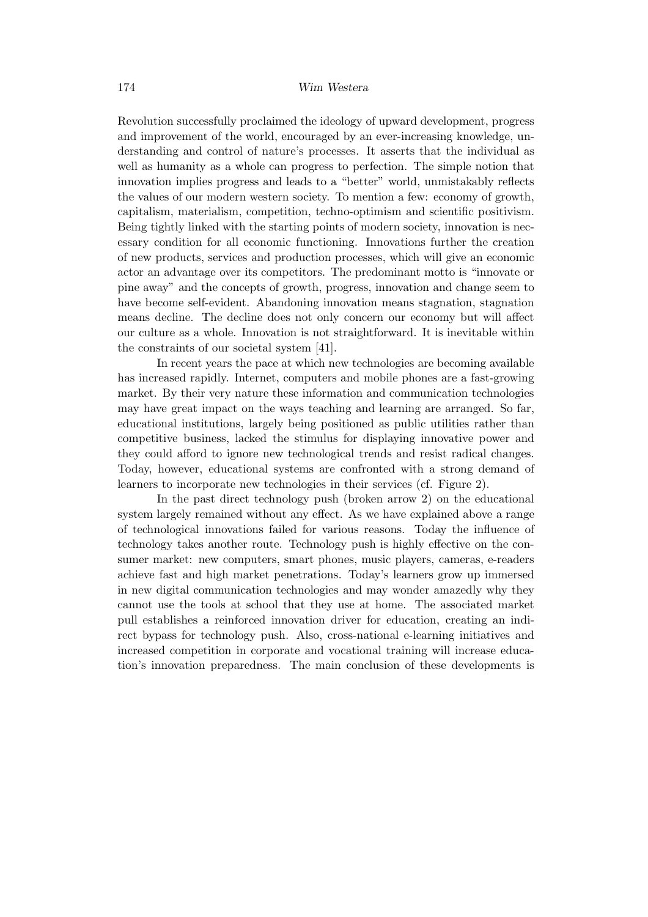Revolution successfully proclaimed the ideology of upward development, progress and improvement of the world, encouraged by an ever-increasing knowledge, understanding and control of nature's processes. It asserts that the individual as well as humanity as a whole can progress to perfection. The simple notion that innovation implies progress and leads to a "better" world, unmistakably reflects the values of our modern western society. To mention a few: economy of growth, capitalism, materialism, competition, techno-optimism and scientific positivism. Being tightly linked with the starting points of modern society, innovation is necessary condition for all economic functioning. Innovations further the creation of new products, services and production processes, which will give an economic actor an advantage over its competitors. The predominant motto is "innovate or pine away" and the concepts of growth, progress, innovation and change seem to have become self-evident. Abandoning innovation means stagnation, stagnation means decline. The decline does not only concern our economy but will affect our culture as a whole. Innovation is not straightforward. It is inevitable within the constraints of our societal system [41].

In recent years the pace at which new technologies are becoming available has increased rapidly. Internet, computers and mobile phones are a fast-growing market. By their very nature these information and communication technologies may have great impact on the ways teaching and learning are arranged. So far, educational institutions, largely being positioned as public utilities rather than competitive business, lacked the stimulus for displaying innovative power and they could afford to ignore new technological trends and resist radical changes. Today, however, educational systems are confronted with a strong demand of learners to incorporate new technologies in their services (cf. Figure 2).

In the past direct technology push (broken arrow 2) on the educational system largely remained without any effect. As we have explained above a range of technological innovations failed for various reasons. Today the influence of technology takes another route. Technology push is highly effective on the consumer market: new computers, smart phones, music players, cameras, e-readers achieve fast and high market penetrations. Today's learners grow up immersed in new digital communication technologies and may wonder amazedly why they cannot use the tools at school that they use at home. The associated market pull establishes a reinforced innovation driver for education, creating an indirect bypass for technology push. Also, cross-national e-learning initiatives and increased competition in corporate and vocational training will increase education's innovation preparedness. The main conclusion of these developments is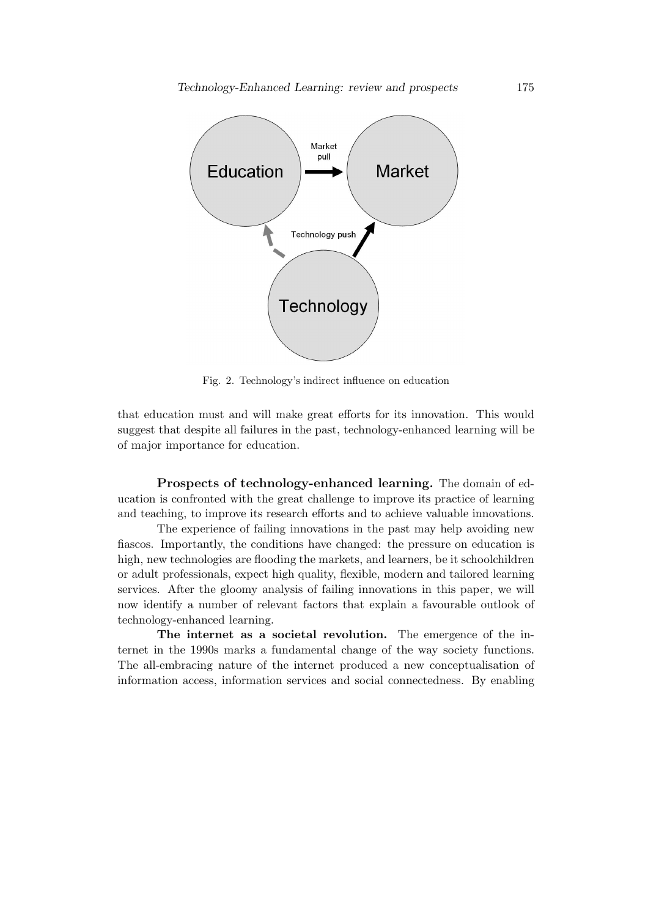

Fig. 2. Technology's indirect influence on education

that education must and will make great efforts for its innovation. This would suggest that despite all failures in the past, technology-enhanced learning will be of major importance for education.

Prospects of technology-enhanced learning. The domain of education is confronted with the great challenge to improve its practice of learning and teaching, to improve its research efforts and to achieve valuable innovations.

The experience of failing innovations in the past may help avoiding new fiascos. Importantly, the conditions have changed: the pressure on education is high, new technologies are flooding the markets, and learners, be it schoolchildren or adult professionals, expect high quality, flexible, modern and tailored learning services. After the gloomy analysis of failing innovations in this paper, we will now identify a number of relevant factors that explain a favourable outlook of technology-enhanced learning.

The internet as a societal revolution. The emergence of the internet in the 1990s marks a fundamental change of the way society functions. The all-embracing nature of the internet produced a new conceptualisation of information access, information services and social connectedness. By enabling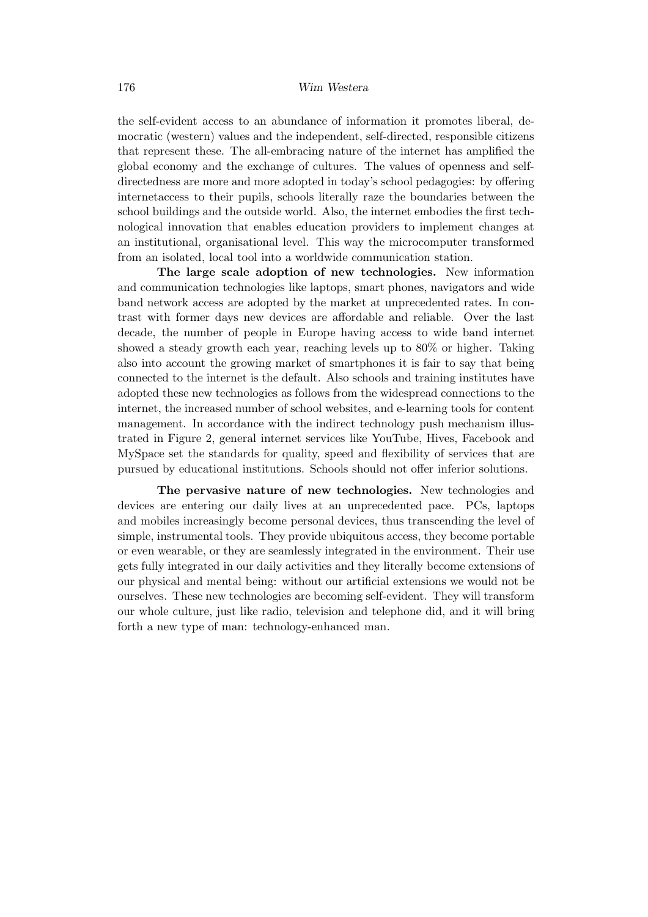the self-evident access to an abundance of information it promotes liberal, democratic (western) values and the independent, self-directed, responsible citizens that represent these. The all-embracing nature of the internet has amplified the global economy and the exchange of cultures. The values of openness and selfdirectedness are more and more adopted in today's school pedagogies: by offering internetaccess to their pupils, schools literally raze the boundaries between the school buildings and the outside world. Also, the internet embodies the first technological innovation that enables education providers to implement changes at an institutional, organisational level. This way the microcomputer transformed from an isolated, local tool into a worldwide communication station.

The large scale adoption of new technologies. New information and communication technologies like laptops, smart phones, navigators and wide band network access are adopted by the market at unprecedented rates. In contrast with former days new devices are affordable and reliable. Over the last decade, the number of people in Europe having access to wide band internet showed a steady growth each year, reaching levels up to 80% or higher. Taking also into account the growing market of smartphones it is fair to say that being connected to the internet is the default. Also schools and training institutes have adopted these new technologies as follows from the widespread connections to the internet, the increased number of school websites, and e-learning tools for content management. In accordance with the indirect technology push mechanism illustrated in Figure 2, general internet services like YouTube, Hives, Facebook and MySpace set the standards for quality, speed and flexibility of services that are pursued by educational institutions. Schools should not offer inferior solutions.

The pervasive nature of new technologies. New technologies and devices are entering our daily lives at an unprecedented pace. PCs, laptops and mobiles increasingly become personal devices, thus transcending the level of simple, instrumental tools. They provide ubiquitous access, they become portable or even wearable, or they are seamlessly integrated in the environment. Their use gets fully integrated in our daily activities and they literally become extensions of our physical and mental being: without our artificial extensions we would not be ourselves. These new technologies are becoming self-evident. They will transform our whole culture, just like radio, television and telephone did, and it will bring forth a new type of man: technology-enhanced man.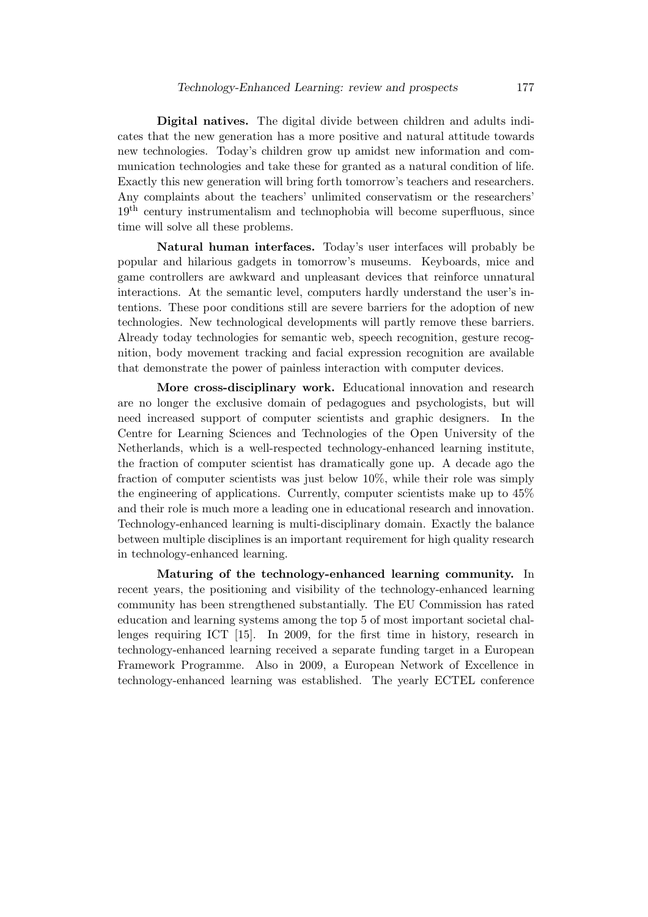Digital natives. The digital divide between children and adults indicates that the new generation has a more positive and natural attitude towards new technologies. Today's children grow up amidst new information and communication technologies and take these for granted as a natural condition of life. Exactly this new generation will bring forth tomorrow's teachers and researchers. Any complaints about the teachers' unlimited conservatism or the researchers' 19th century instrumentalism and technophobia will become superfluous, since time will solve all these problems.

Natural human interfaces. Today's user interfaces will probably be popular and hilarious gadgets in tomorrow's museums. Keyboards, mice and game controllers are awkward and unpleasant devices that reinforce unnatural interactions. At the semantic level, computers hardly understand the user's intentions. These poor conditions still are severe barriers for the adoption of new technologies. New technological developments will partly remove these barriers. Already today technologies for semantic web, speech recognition, gesture recognition, body movement tracking and facial expression recognition are available that demonstrate the power of painless interaction with computer devices.

More cross-disciplinary work. Educational innovation and research are no longer the exclusive domain of pedagogues and psychologists, but will need increased support of computer scientists and graphic designers. In the Centre for Learning Sciences and Technologies of the Open University of the Netherlands, which is a well-respected technology-enhanced learning institute, the fraction of computer scientist has dramatically gone up. A decade ago the fraction of computer scientists was just below 10%, while their role was simply the engineering of applications. Currently, computer scientists make up to 45% and their role is much more a leading one in educational research and innovation. Technology-enhanced learning is multi-disciplinary domain. Exactly the balance between multiple disciplines is an important requirement for high quality research in technology-enhanced learning.

Maturing of the technology-enhanced learning community. In recent years, the positioning and visibility of the technology-enhanced learning community has been strengthened substantially. The EU Commission has rated education and learning systems among the top 5 of most important societal challenges requiring ICT [15]. In 2009, for the first time in history, research in technology-enhanced learning received a separate funding target in a European Framework Programme. Also in 2009, a European Network of Excellence in technology-enhanced learning was established. The yearly ECTEL conference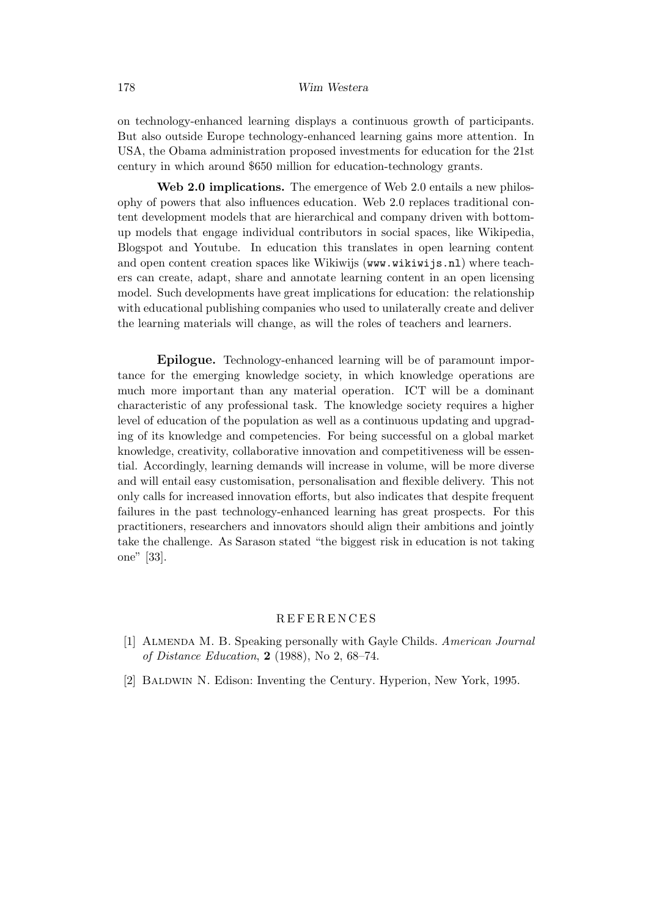on technology-enhanced learning displays a continuous growth of participants. But also outside Europe technology-enhanced learning gains more attention. In USA, the Obama administration proposed investments for education for the 21st century in which around \$650 million for education-technology grants.

Web 2.0 implications. The emergence of Web 2.0 entails a new philosophy of powers that also influences education. Web 2.0 replaces traditional content development models that are hierarchical and company driven with bottomup models that engage individual contributors in social spaces, like Wikipedia, Blogspot and Youtube. In education this translates in open learning content and open content creation spaces like Wikiwijs (www.wikiwijs.nl) where teachers can create, adapt, share and annotate learning content in an open licensing model. Such developments have great implications for education: the relationship with educational publishing companies who used to unilaterally create and deliver the learning materials will change, as will the roles of teachers and learners.

Epilogue. Technology-enhanced learning will be of paramount importance for the emerging knowledge society, in which knowledge operations are much more important than any material operation. ICT will be a dominant characteristic of any professional task. The knowledge society requires a higher level of education of the population as well as a continuous updating and upgrading of its knowledge and competencies. For being successful on a global market knowledge, creativity, collaborative innovation and competitiveness will be essential. Accordingly, learning demands will increase in volume, will be more diverse and will entail easy customisation, personalisation and flexible delivery. This not only calls for increased innovation efforts, but also indicates that despite frequent failures in the past technology-enhanced learning has great prospects. For this practitioners, researchers and innovators should align their ambitions and jointly take the challenge. As Sarason stated "the biggest risk in education is not taking one" [33].

### **REFERENCES**

- [1] Almenda M. B. Speaking personally with Gayle Childs. American Journal *of Distance Education*,  $2(1988)$ , No 2, 68–74.
- [2] Baldwin N. Edison: Inventing the Century. Hyperion, New York, 1995.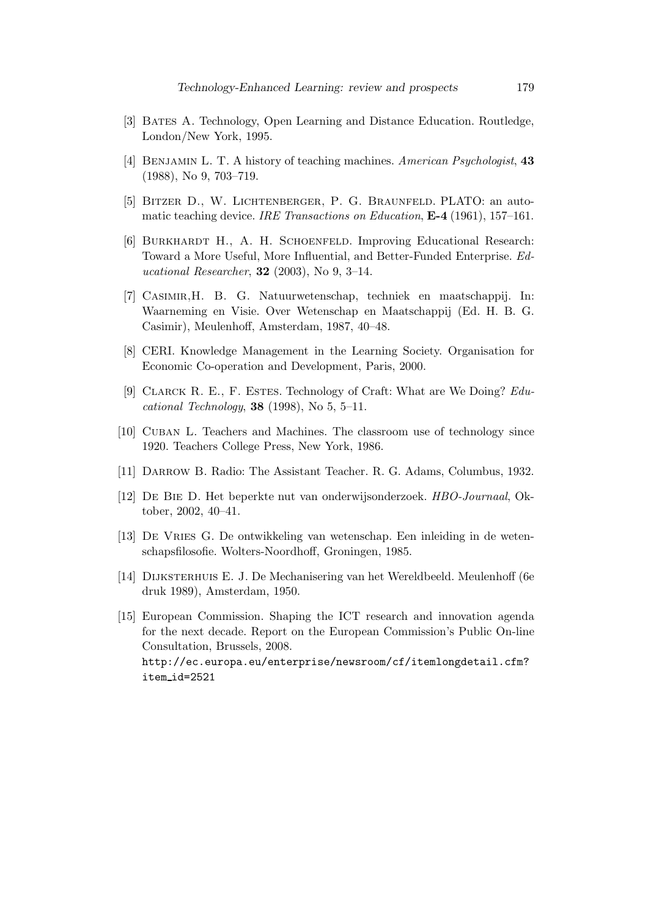- [3] BATES A. Technology, Open Learning and Distance Education. Routledge, London/New York, 1995.
- [4] Benjamin L. T. A history of teaching machines. American Psychologist, 43 (1988), No 9, 703–719.
- [5] Bitzer D., W. Lichtenberger, P. G. Braunfeld. PLATO: an automatic teaching device. IRE Transactions on Education,  $E-4$  (1961), 157-161.
- [6] BURKHARDT H., A. H. SCHOENFELD. Improving Educational Research: Toward a More Useful, More Influential, and Better-Funded Enterprise. Ed*ucational Researcher*, **32** (2003), No 9, 3–14.
- [7] Casimir,H. B. G. Natuurwetenschap, techniek en maatschappij. In: Waarneming en Visie. Over Wetenschap en Maatschappij (Ed. H. B. G. Casimir), Meulenhoff, Amsterdam, 1987, 40–48.
- [8] CERI. Knowledge Management in the Learning Society. Organisation for Economic Co-operation and Development, Paris, 2000.
- [9] CLARCK R. E., F. ESTES. Technology of Craft: What are We Doing? Educational Technology, **38** (1998), No 5, 5–11.
- [10] Cuban L. Teachers and Machines. The classroom use of technology since 1920. Teachers College Press, New York, 1986.
- [11] Darrow B. Radio: The Assistant Teacher. R. G. Adams, Columbus, 1932.
- [12] De Bie D. Het beperkte nut van onderwijsonderzoek. HBO-Journaal, Oktober, 2002, 40–41.
- [13] De Vries G. De ontwikkeling van wetenschap. Een inleiding in de wetenschapsfilosofie. Wolters-Noordhoff, Groningen, 1985.
- [14] Dijksterhuis E. J. De Mechanisering van het Wereldbeeld. Meulenhoff (6e druk 1989), Amsterdam, 1950.
- [15] European Commission. Shaping the ICT research and innovation agenda for the next decade. Report on the European Commission's Public On-line Consultation, Brussels, 2008. http://ec.europa.eu/enterprise/newsroom/cf/itemlongdetail.cfm? item id=2521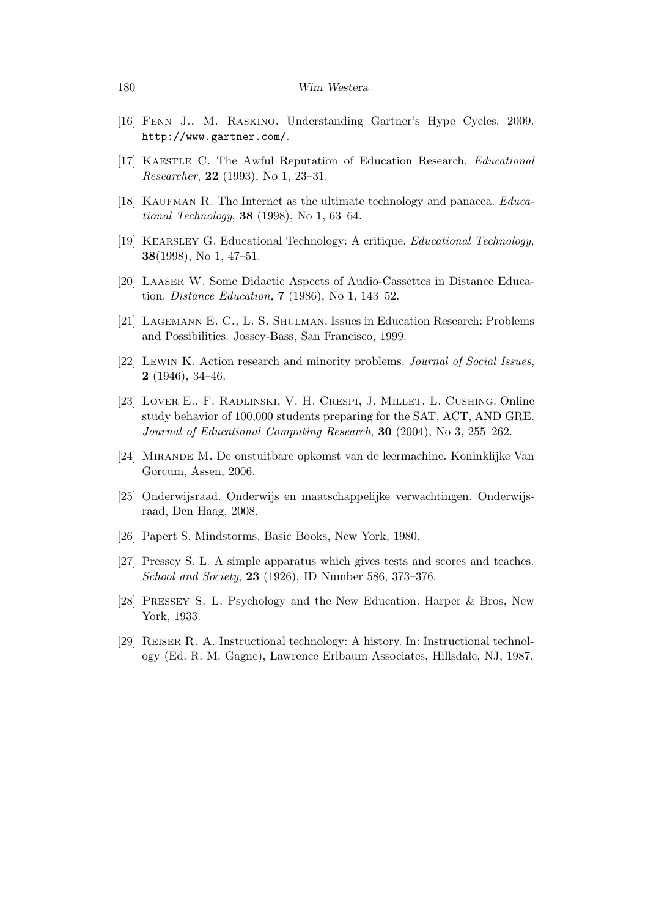- [16] Fenn J., M. Raskino. Understanding Gartner's Hype Cycles. 2009. http://www.gartner.com/.
- [17] KAESTLE C. The Awful Reputation of Education Research. *Educational* Researcher, 22 (1993), No 1, 23–31.
- [18] KAUFMAN R. The Internet as the ultimate technology and panacea.  $Educa$ tional Technology, **38** (1998), No 1, 63–64.
- [19] Kearsley G. Educational Technology: A critique. Educational Technology, 38(1998), No 1, 47–51.
- [20] Laaser W. Some Didactic Aspects of Audio-Cassettes in Distance Education. Distance Education, 7 (1986), No 1, 143–52.
- [21] Lagemann E. C., L. S. Shulman. Issues in Education Research: Problems and Possibilities. Jossey-Bass, San Francisco, 1999.
- [22] Lewin K. Action research and minority problems. Journal of Social Issues, 2 (1946), 34–46.
- [23] Lover E., F. Radlinski, V. H. Crespi, J. Millet, L. Cushing. Online study behavior of 100,000 students preparing for the SAT, ACT, AND GRE. Journal of Educational Computing Research, 30 (2004), No 3, 255–262.
- [24] Mirande M. De onstuitbare opkomst van de leermachine. Koninklijke Van Gorcum, Assen, 2006.
- [25] Onderwijsraad. Onderwijs en maatschappelijke verwachtingen. Onderwijsraad, Den Haag, 2008.
- [26] Papert S. Mindstorms. Basic Books, New York, 1980.
- [27] Pressey S. L. A simple apparatus which gives tests and scores and teaches. School and Society, 23 (1926), ID Number 586, 373–376.
- [28] Pressey S. L. Psychology and the New Education. Harper & Bros, New York, 1933.
- [29] Reiser R. A. Instructional technology: A history. In: Instructional technology (Ed. R. M. Gagne), Lawrence Erlbaum Associates, Hillsdale, NJ, 1987.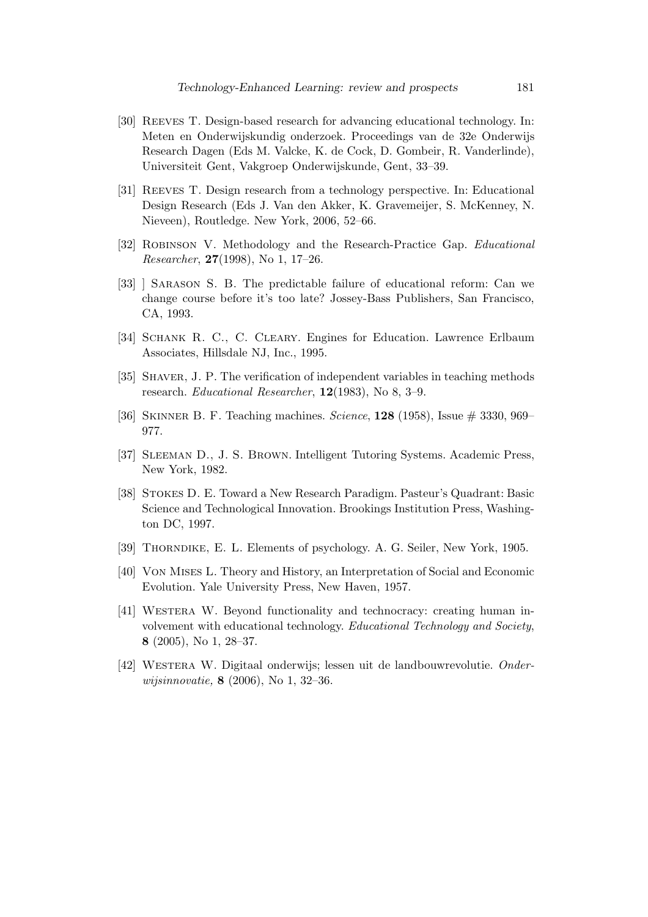- [30] Reeves T. Design-based research for advancing educational technology. In: Meten en Onderwijskundig onderzoek. Proceedings van de 32e Onderwijs Research Dagen (Eds M. Valcke, K. de Cock, D. Gombeir, R. Vanderlinde), Universiteit Gent, Vakgroep Onderwijskunde, Gent, 33–39.
- [31] Reeves T. Design research from a technology perspective. In: Educational Design Research (Eds J. Van den Akker, K. Gravemeijer, S. McKenney, N. Nieveen), Routledge. New York, 2006, 52–66.
- [32] Robinson V. Methodology and the Research-Practice Gap. Educational Researcher, 27(1998), No 1, 17–26.
- [33] ] Sarason S. B. The predictable failure of educational reform: Can we change course before it's too late? Jossey-Bass Publishers, San Francisco, CA, 1993.
- [34] SCHANK R. C., C. CLEARY. Engines for Education. Lawrence Erlbaum Associates, Hillsdale NJ, Inc., 1995.
- [35] SHAVER, J. P. The verification of independent variables in teaching methods research. Educational Researcher, 12(1983), No 8, 3–9.
- [36] SKINNER B. F. Teaching machines. Science, 128 (1958), Issue # 3330, 969– 977.
- [37] Sleeman D., J. S. Brown. Intelligent Tutoring Systems. Academic Press, New York, 1982.
- [38] Stokes D. E. Toward a New Research Paradigm. Pasteur's Quadrant: Basic Science and Technological Innovation. Brookings Institution Press, Washington DC, 1997.
- [39] Thorndike, E. L. Elements of psychology. A. G. Seiler, New York, 1905.
- [40] Von Mises L. Theory and History, an Interpretation of Social and Economic Evolution. Yale University Press, New Haven, 1957.
- [41] Westera W. Beyond functionality and technocracy: creating human involvement with educational technology. Educational Technology and Society, 8 (2005), No 1, 28–37.
- [42] Westera W. Digitaal onderwijs; lessen uit de landbouwrevolutie. Onderwijsinnovatie, 8 (2006), No 1, 32–36.